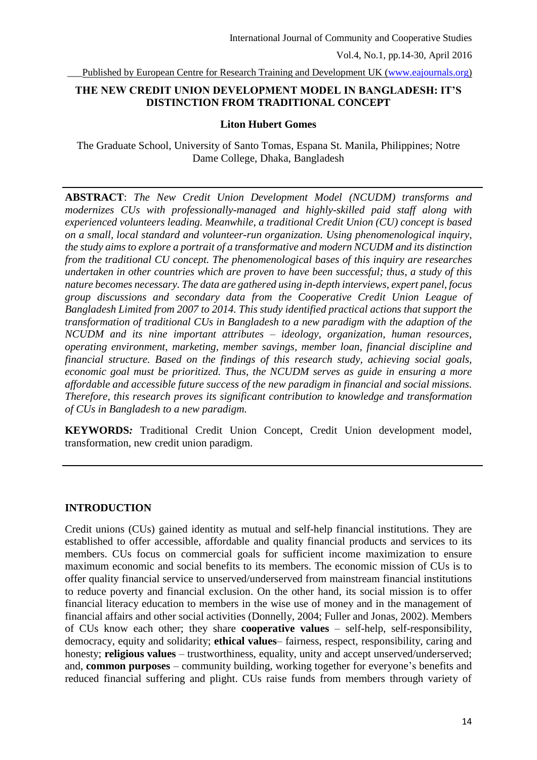Published by European Centre for Research Training and Development UK [\(www.eajournals.org\)](http://www.eajournals.org/)

### **THE NEW CREDIT UNION DEVELOPMENT MODEL IN BANGLADESH: IT'S DISTINCTION FROM TRADITIONAL CONCEPT**

#### **Liton Hubert Gomes**

The Graduate School, University of Santo Tomas, Espana St. Manila, Philippines; Notre Dame College, Dhaka, Bangladesh

**ABSTRACT**: *The New Credit Union Development Model (NCUDM) transforms and modernizes CUs with professionally-managed and highly-skilled paid staff along with experienced volunteers leading. Meanwhile, a traditional Credit Union (CU) concept is based on a small, local standard and volunteer-run organization. Using phenomenological inquiry, the study aims to explore a portrait of a transformative and modern NCUDM and its distinction from the traditional CU concept. The phenomenological bases of this inquiry are researches undertaken in other countries which are proven to have been successful; thus, a study of this nature becomes necessary. The data are gathered using in-depth interviews, expert panel, focus group discussions and secondary data from the Cooperative Credit Union League of Bangladesh Limited from 2007 to 2014. This study identified practical actions that support the transformation of traditional CUs in Bangladesh to a new paradigm with the adaption of the NCUDM and its nine important attributes – ideology, organization, human resources, operating environment, marketing, member savings, member loan, financial discipline and financial structure. Based on the findings of this research study, achieving social goals, economic goal must be prioritized. Thus, the NCUDM serves as guide in ensuring a more affordable and accessible future success of the new paradigm in financial and social missions. Therefore, this research proves its significant contribution to knowledge and transformation of CUs in Bangladesh to a new paradigm.* 

**KEYWORDS***:* Traditional Credit Union Concept, Credit Union development model, transformation, new credit union paradigm.

### **INTRODUCTION**

Credit unions (CUs) gained identity as mutual and self-help financial institutions. They are established to offer accessible, affordable and quality financial products and services to its members. CUs focus on commercial goals for sufficient income maximization to ensure maximum economic and social benefits to its members. The economic mission of CUs is to offer quality financial service to unserved/underserved from mainstream financial institutions to reduce poverty and financial exclusion. On the other hand, its social mission is to offer financial literacy education to members in the wise use of money and in the management of financial affairs and other social activities (Donnelly, 2004; Fuller and Jonas, 2002). Members of CUs know each other; they share **cooperative values** – self-help, self-responsibility, democracy, equity and solidarity; **ethical values**– fairness, respect, responsibility, caring and honesty; **religious values** – trustworthiness, equality, unity and accept unserved/underserved; and, **common purposes** – community building, working together for everyone's benefits and reduced financial suffering and plight. CUs raise funds from members through variety of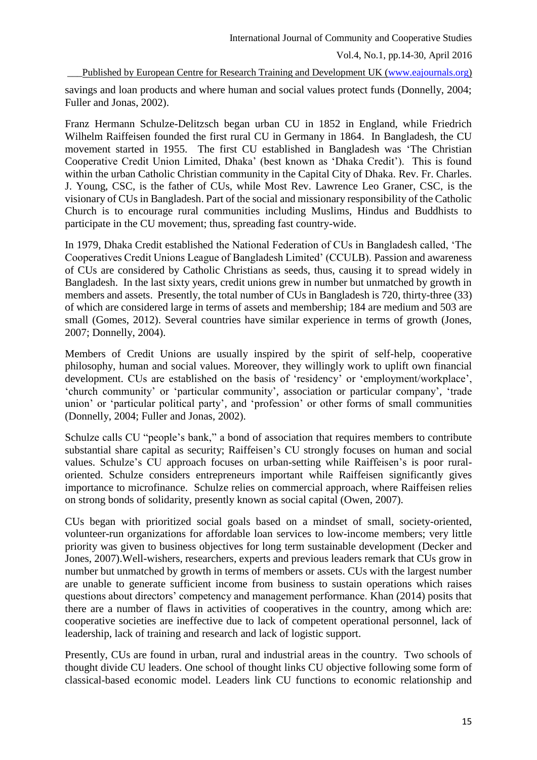Vol.4, No.1, pp.14-30, April 2016

Published by European Centre for Research Training and Development UK [\(www.eajournals.org\)](http://www.eajournals.org/)

savings and loan products and where human and social values protect funds (Donnelly, 2004; Fuller and Jonas, 2002).

Franz Hermann Schulze-Delitzsch began urban CU in 1852 in England, while Friedrich Wilhelm Raiffeisen founded the first rural CU in Germany in 1864. In Bangladesh, the CU movement started in 1955. The first CU established in Bangladesh was 'The Christian Cooperative Credit Union Limited, Dhaka' (best known as 'Dhaka Credit'). This is found within the urban Catholic Christian community in the Capital City of Dhaka. Rev. Fr. Charles. J. Young, CSC, is the father of CUs, while Most Rev. Lawrence Leo Graner, CSC, is the visionary of CUs in Bangladesh. Part of the social and missionary responsibility of the Catholic Church is to encourage rural communities including Muslims, Hindus and Buddhists to participate in the CU movement; thus, spreading fast country-wide.

In 1979, Dhaka Credit established the National Federation of CUs in Bangladesh called, 'The Cooperatives Credit Unions League of Bangladesh Limited' (CCULB). Passion and awareness of CUs are considered by Catholic Christians as seeds, thus, causing it to spread widely in Bangladesh. In the last sixty years, credit unions grew in number but unmatched by growth in members and assets. Presently, the total number of CUs in Bangladesh is 720, thirty-three (33) of which are considered large in terms of assets and membership; 184 are medium and 503 are small (Gomes, 2012). Several countries have similar experience in terms of growth (Jones, 2007; Donnelly, 2004).

Members of Credit Unions are usually inspired by the spirit of self-help, cooperative philosophy, human and social values. Moreover, they willingly work to uplift own financial development. CUs are established on the basis of 'residency' or 'employment/workplace', 'church community' or 'particular community', association or particular company', 'trade union' or 'particular political party', and 'profession' or other forms of small communities (Donnelly, 2004; Fuller and Jonas, 2002).

Schulze calls CU "people's bank," a bond of association that requires members to contribute substantial share capital as security; Raiffeisen's CU strongly focuses on human and social values. Schulze's CU approach focuses on urban-setting while Raiffeisen's is poor ruraloriented. Schulze considers entrepreneurs important while Raiffeisen significantly gives importance to microfinance. Schulze relies on commercial approach, where Raiffeisen relies on strong bonds of solidarity, presently known as social capital (Owen, 2007).

CUs began with prioritized social goals based on a mindset of small, society-oriented, volunteer-run organizations for affordable loan services to low-income members; very little priority was given to business objectives for long term sustainable development (Decker and Jones, 2007).Well-wishers, researchers, experts and previous leaders remark that CUs grow in number but unmatched by growth in terms of members or assets. CUs with the largest number are unable to generate sufficient income from business to sustain operations which raises questions about directors' competency and management performance. Khan (2014) posits that there are a number of flaws in activities of cooperatives in the country, among which are: cooperative societies are ineffective due to lack of competent operational personnel, lack of leadership, lack of training and research and lack of logistic support.

Presently, CUs are found in urban, rural and industrial areas in the country. Two schools of thought divide CU leaders. One school of thought links CU objective following some form of classical-based economic model. Leaders link CU functions to economic relationship and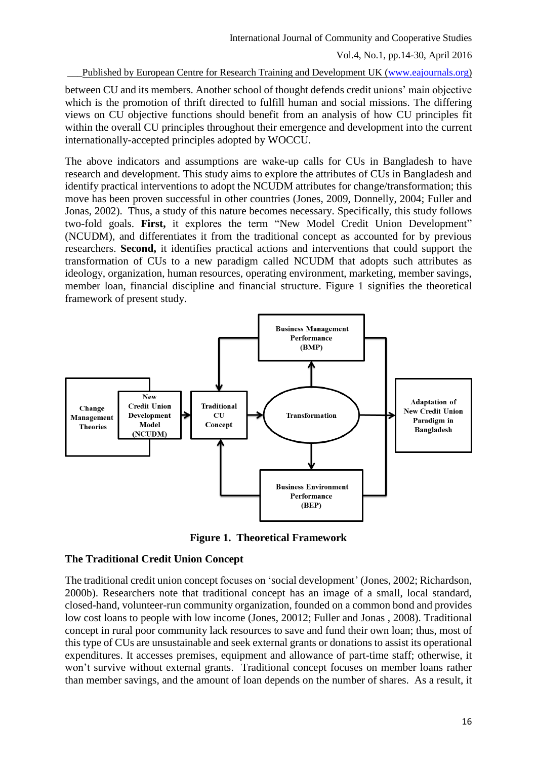Published by European Centre for Research Training and Development UK [\(www.eajournals.org\)](http://www.eajournals.org/)

between CU and its members. Another school of thought defends credit unions' main objective which is the promotion of thrift directed to fulfill human and social missions. The differing views on CU objective functions should benefit from an analysis of how CU principles fit within the overall CU principles throughout their emergence and development into the current internationally-accepted principles adopted by WOCCU.

The above indicators and assumptions are wake-up calls for CUs in Bangladesh to have research and development. This study aims to explore the attributes of CUs in Bangladesh and identify practical interventions to adopt the NCUDM attributes for change/transformation; this move has been proven successful in other countries (Jones, 2009, Donnelly, 2004; Fuller and Jonas, 2002). Thus, a study of this nature becomes necessary. Specifically, this study follows two-fold goals. **First,** it explores the term "New Model Credit Union Development" (NCUDM), and differentiates it from the traditional concept as accounted for by previous researchers. **Second,** it identifies practical actions and interventions that could support the transformation of CUs to a new paradigm called NCUDM that adopts such attributes as ideology, organization, human resources, operating environment, marketing, member savings, member loan, financial discipline and financial structure. Figure 1 signifies the theoretical framework of present study.



**Figure 1. Theoretical Framework**

### **The Traditional Credit Union Concept**

The traditional credit union concept focuses on 'social development' (Jones, 2002; Richardson, 2000b). Researchers note that traditional concept has an image of a small, local standard, closed-hand, volunteer-run community organization, founded on a common bond and provides low cost loans to people with low income (Jones, 20012; Fuller and Jonas , 2008). Traditional concept in rural poor community lack resources to save and fund their own loan; thus, most of this type of CUs are unsustainable and seek external grants or donations to assist its operational expenditures. It accesses premises, equipment and allowance of part-time staff; otherwise, it won't survive without external grants. Traditional concept focuses on member loans rather than member savings, and the amount of loan depends on the number of shares. As a result, it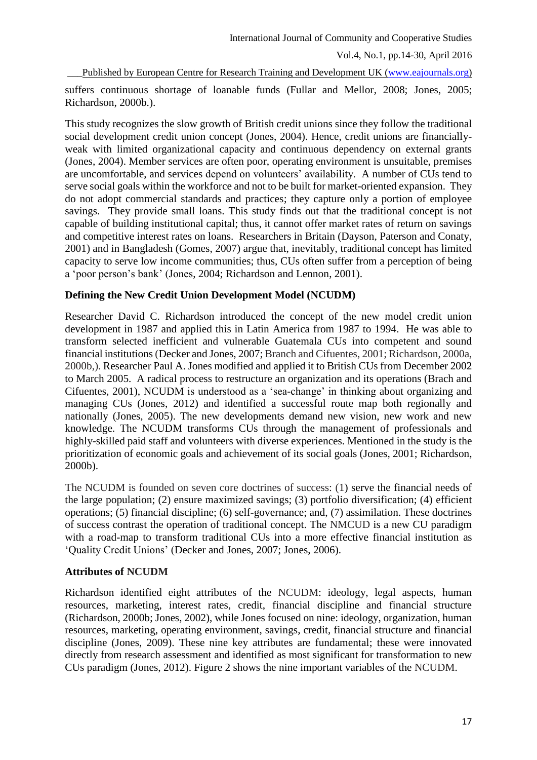Vol.4, No.1, pp.14-30, April 2016

Published by European Centre for Research Training and Development UK [\(www.eajournals.org\)](http://www.eajournals.org/)

suffers continuous shortage of loanable funds (Fullar and Mellor, 2008; Jones, 2005; Richardson, 2000b.).

This study recognizes the slow growth of British credit unions since they follow the traditional social development credit union concept (Jones, 2004). Hence, credit unions are financiallyweak with limited organizational capacity and continuous dependency on external grants (Jones, 2004). Member services are often poor, operating environment is unsuitable, premises are uncomfortable, and services depend on volunteers' availability. A number of CUs tend to serve social goals within the workforce and not to be built for market-oriented expansion. They do not adopt commercial standards and practices; they capture only a portion of employee savings. They provide small loans. This study finds out that the traditional concept is not capable of building institutional capital; thus, it cannot offer market rates of return on savings and competitive interest rates on loans. Researchers in Britain (Dayson, Paterson and Conaty, 2001) and in Bangladesh (Gomes, 2007) argue that, inevitably, traditional concept has limited capacity to serve low income communities; thus, CUs often suffer from a perception of being a 'poor person's bank' (Jones, 2004; Richardson and Lennon, 2001).

# **Defining the New Credit Union Development Model (NCUDM)**

Researcher David C. Richardson introduced the concept of the new model credit union development in 1987 and applied this in Latin America from 1987 to 1994. He was able to transform selected inefficient and vulnerable Guatemala CUs into competent and sound financial institutions (Decker and Jones, 2007; Branch and Cifuentes, 2001; Richardson, 2000a, 2000b,). Researcher Paul A. Jones modified and applied it to British CUs from December 2002 to March 2005. A radical process to restructure an organization and its operations (Brach and Cifuentes, 2001), NCUDM is understood as a 'sea-change' in thinking about organizing and managing CUs (Jones, 2012) and identified a successful route map both regionally and nationally (Jones, 2005). The new developments demand new vision, new work and new knowledge. The NCUDM transforms CUs through the management of professionals and highly-skilled paid staff and volunteers with diverse experiences. Mentioned in the study is the prioritization of economic goals and achievement of its social goals (Jones, 2001; Richardson, 2000b).

The NCUDM is founded on seven core doctrines of success: (1) serve the financial needs of the large population; (2) ensure maximized savings; (3) portfolio diversification; (4) efficient operations; (5) financial discipline; (6) self-governance; and, (7) assimilation. These doctrines of success contrast the operation of traditional concept. The NMCUD is a new CU paradigm with a road-map to transform traditional CUs into a more effective financial institution as 'Quality Credit Unions' (Decker and Jones, 2007; Jones, 2006).

### **Attributes of NCUDM**

Richardson identified eight attributes of the NCUDM: ideology, legal aspects, human resources, marketing, interest rates, credit, financial discipline and financial structure (Richardson, 2000b; Jones, 2002), while Jones focused on nine: ideology, organization, human resources, marketing, operating environment, savings, credit, financial structure and financial discipline (Jones, 2009). These nine key attributes are fundamental; these were innovated directly from research assessment and identified as most significant for transformation to new CUs paradigm (Jones, 2012). Figure 2 shows the nine important variables of the NCUDM.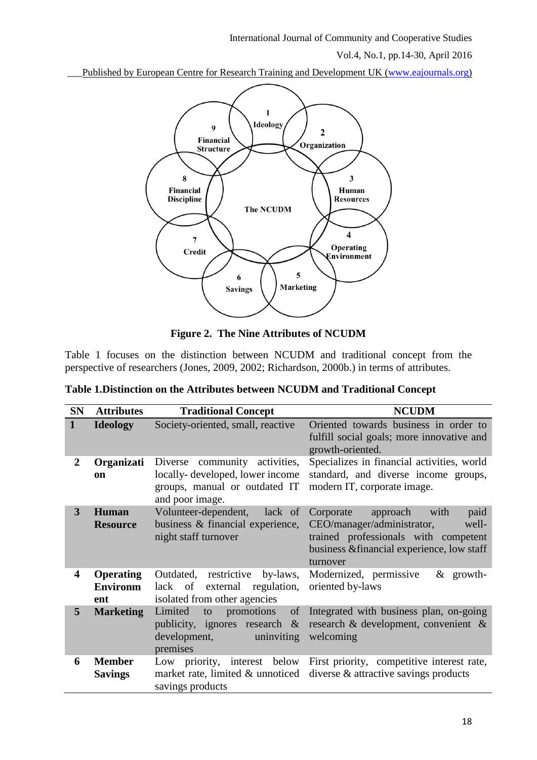Published by European Centre for Research Training and Development UK [\(www.eajournals.org\)](http://www.eajournals.org/)



**Figure 2. The Nine Attributes of NCUDM**

Table 1 focuses on the distinction between NCUDM and traditional concept from the perspective of researchers (Jones, 2009, 2002; Richardson, 2000b.) in terms of attributes.

| <b>SN</b>               | <b>Attributes</b>                          | <b>Traditional Concept</b>                                                                                           | <b>NCUDM</b>                                                                                                                                                                   |
|-------------------------|--------------------------------------------|----------------------------------------------------------------------------------------------------------------------|--------------------------------------------------------------------------------------------------------------------------------------------------------------------------------|
| $\mathbf{1}$            | <b>Ideology</b>                            | Society-oriented, small, reactive                                                                                    | Oriented towards business in order to<br>fulfill social goals; more innovative and<br>growth-oriented.                                                                         |
| $\overline{2}$          | Organizati<br>on                           | Diverse community activities,<br>locally-developed, lower income<br>groups, manual or outdated IT<br>and poor image. | Specializes in financial activities, world<br>standard, and diverse income groups,<br>modern IT, corporate image.                                                              |
| 3                       | Human<br><b>Resource</b>                   | Volunteer-dependent,<br>lack of<br>business & financial experience,<br>night staff turnover                          | paid<br>Corporate<br>approach<br>with<br>CEO/manager/administrator,<br>well-<br>trained professionals with competent<br>business & financial experience, low staff<br>turnover |
| $\overline{\mathbf{4}}$ | <b>Operating</b><br><b>Environm</b><br>ent | Outdated, restrictive<br>by-laws,<br>external regulation,<br>lack of<br>isolated from other agencies                 | Modernized, permissive<br>$&$ growth-<br>oriented by-laws                                                                                                                      |
| 5                       | <b>Marketing</b>                           | Limited<br>promotions<br>of<br>to<br>publicity, ignores research $\&$<br>uninviting<br>development,<br>premises      | Integrated with business plan, on-going<br>research & development, convenient &<br>welcoming                                                                                   |
| 6                       | <b>Member</b><br><b>Savings</b>            | savings products                                                                                                     | Low priority, interest below First priority, competitive interest rate,<br>market rate, limited & unnoticed diverse & attractive savings products                              |

| Table 1. Distinction on the Attributes between NCUDM and Traditional Concept |  |  |  |  |
|------------------------------------------------------------------------------|--|--|--|--|
|                                                                              |  |  |  |  |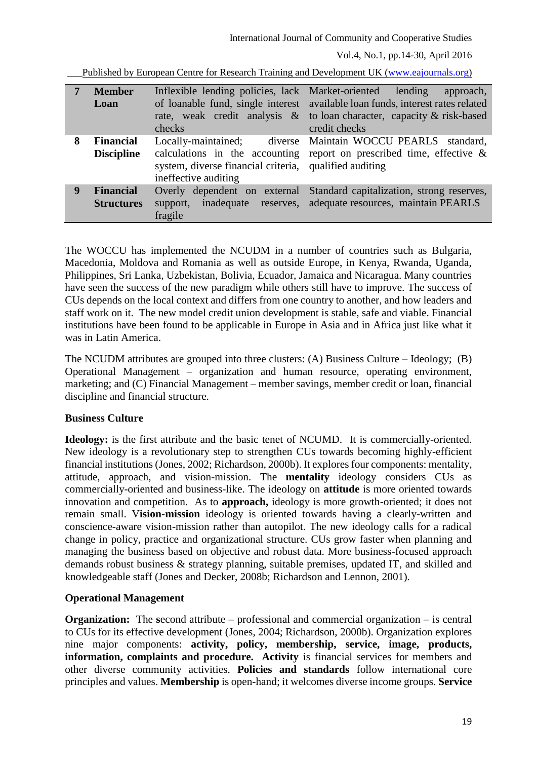Published by European Centre for Research Training and Development UK [\(www.eajournals.org\)](http://www.eajournals.org/)

|   | <b>Member</b><br>Loan                 | Inflexible lending policies, lack Market-oriented lending<br>checks                                   | approach,<br>of loanable fund, single interest available loan funds, interest rates related<br>rate, weak credit analysis & to loan character, capacity & risk-based<br>credit checks |
|---|---------------------------------------|-------------------------------------------------------------------------------------------------------|---------------------------------------------------------------------------------------------------------------------------------------------------------------------------------------|
| 8 | <b>Financial</b><br><b>Discipline</b> | Locally-maintained;<br>system, diverse financial criteria, qualified auditing<br>ineffective auditing | diverse Maintain WOCCU PEARLS standard,<br>calculations in the accounting report on prescribed time, effective $\&$                                                                   |
| 9 | <b>Financial</b><br><b>Structures</b> | Overly dependent on external<br>inadequate<br>reserves,<br>support,<br>fragile                        | Standard capitalization, strong reserves,<br>adequate resources, maintain PEARLS                                                                                                      |

The WOCCU has implemented the NCUDM in a number of countries such as Bulgaria, Macedonia, Moldova and Romania as well as outside Europe, in Kenya, Rwanda, Uganda, Philippines, Sri Lanka, Uzbekistan, Bolivia, Ecuador, Jamaica and Nicaragua. Many countries have seen the success of the new paradigm while others still have to improve. The success of CUs depends on the local context and differs from one country to another, and how leaders and staff work on it. The new model credit union development is stable, safe and viable. Financial institutions have been found to be applicable in Europe in Asia and in Africa just like what it was in Latin America.

The NCUDM attributes are grouped into three clusters: (A) Business Culture – Ideology; (B) Operational Management – organization and human resource, operating environment, marketing; and (C) Financial Management – member savings, member credit or loan, financial discipline and financial structure.

# **Business Culture**

**Ideology:** is the first attribute and the basic tenet of NCUMD. It is commercially-oriented. New ideology is a revolutionary step to strengthen CUs towards becoming highly-efficient financial institutions (Jones, 2002; Richardson, 2000b). It explores four components: mentality, attitude, approach, and vision-mission. The **mentality** ideology considers CUs as commercially-oriented and business-like. The ideology on **attitude** is more oriented towards innovation and competition. As to **approach,** ideology is more growth-oriented; it does not remain small. V**ision-mission** ideology is oriented towards having a clearly-written and conscience-aware vision-mission rather than autopilot. The new ideology calls for a radical change in policy, practice and organizational structure. CUs grow faster when planning and managing the business based on objective and robust data. More business-focused approach demands robust business & strategy planning, suitable premises, updated IT, and skilled and knowledgeable staff (Jones and Decker, 2008b; Richardson and Lennon, 2001).

# **Operational Management**

**Organization:** The second attribute – professional and commercial organization – is central to CUs for its effective development (Jones, 2004; Richardson, 2000b). Organization explores nine major components: **activity, policy, membership, service, image, products, information, complaints and procedure. Activity** is financial services for members and other diverse community activities. **Policies and standards** follow international core principles and values. **Membership** is open-hand; it welcomes diverse income groups. **Service**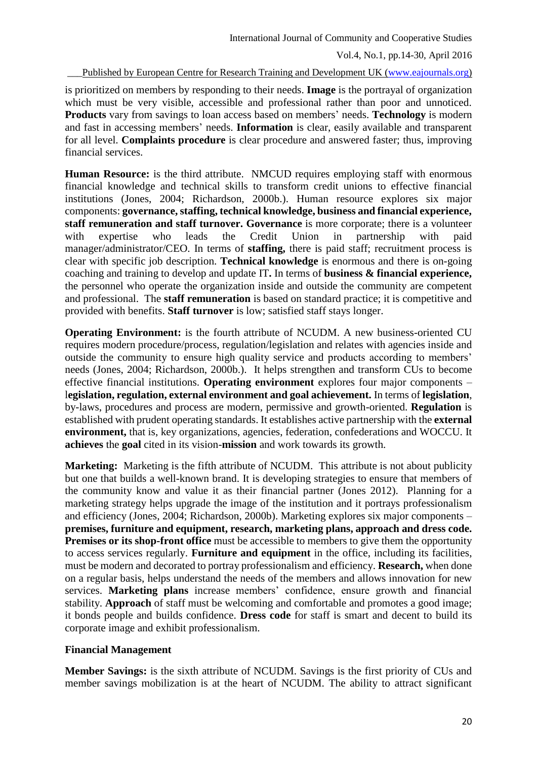Published by European Centre for Research Training and Development UK [\(www.eajournals.org\)](http://www.eajournals.org/)

is prioritized on members by responding to their needs. **Image** is the portrayal of organization which must be very visible, accessible and professional rather than poor and unnoticed. **Products** vary from savings to loan access based on members' needs. **Technology** is modern and fast in accessing members' needs. **Information** is clear, easily available and transparent for all level. **Complaints procedure** is clear procedure and answered faster; thus, improving financial services.

**Human Resource:** is the third attribute. NMCUD requires employing staff with enormous financial knowledge and technical skills to transform credit unions to effective financial institutions (Jones, 2004; Richardson, 2000b.). Human resource explores six major components: **governance, staffing, technical knowledge, business and financial experience, staff remuneration and staff turnover. Governance** is more corporate; there is a volunteer with expertise who leads the Credit Union in partnership with paid manager/administrator/CEO. In terms of **staffing,** there is paid staff; recruitment process is clear with specific job description. **Technical knowledge** is enormous and there is on-going coaching and training to develop and update IT**.** In terms of **business & financial experience,** the personnel who operate the organization inside and outside the community are competent and professional. The **staff remuneration** is based on standard practice; it is competitive and provided with benefits. **Staff turnover** is low; satisfied staff stays longer.

**Operating Environment:** is the fourth attribute of NCUDM. A new business-oriented CU requires modern procedure/process, regulation/legislation and relates with agencies inside and outside the community to ensure high quality service and products according to members' needs (Jones, 2004; Richardson, 2000b.). It helps strengthen and transform CUs to become effective financial institutions. **Operating environment** explores four major components – l**egislation, regulation, external environment and goal achievement.** In terms of **legislation**, by-laws, procedures and process are modern, permissive and growth-oriented. **Regulation** is established with prudent operating standards. It establishes active partnership with the **external environment,** that is, key organizations, agencies, federation, confederations and WOCCU. It **achieves** the **goal** cited in its vision-**mission** and work towards its growth.

**Marketing:** Marketing is the fifth attribute of NCUDM. This attribute is not about publicity but one that builds a well-known brand. It is developing strategies to ensure that members of the community know and value it as their financial partner (Jones 2012). Planning for a marketing strategy helps upgrade the image of the institution and it portrays professionalism and efficiency (Jones, 2004; Richardson, 2000b). Marketing explores six major components – **premises, furniture and equipment, research, marketing plans, approach and dress code. Premises or its shop-front office** must be accessible to members to give them the opportunity to access services regularly. **Furniture and equipment** in the office, including its facilities, must be modern and decorated to portray professionalism and efficiency. **Research,** when done on a regular basis, helps understand the needs of the members and allows innovation for new services. **Marketing plans** increase members' confidence, ensure growth and financial stability. **Approach** of staff must be welcoming and comfortable and promotes a good image; it bonds people and builds confidence. **Dress code** for staff is smart and decent to build its corporate image and exhibit professionalism.

### **Financial Management**

**Member Savings:** is the sixth attribute of NCUDM. Savings is the first priority of CUs and member savings mobilization is at the heart of NCUDM. The ability to attract significant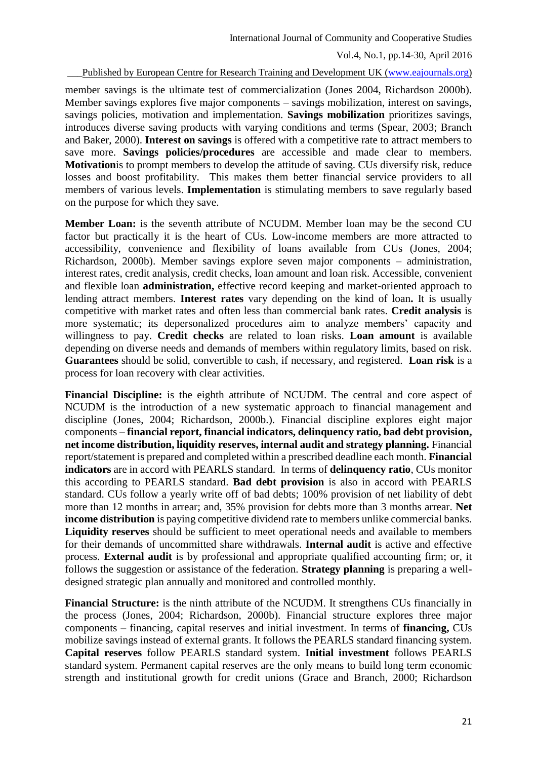Published by European Centre for Research Training and Development UK [\(www.eajournals.org\)](http://www.eajournals.org/)

member savings is the ultimate test of commercialization (Jones 2004, Richardson 2000b). Member savings explores five major components – savings mobilization, interest on savings, savings policies, motivation and implementation. **Savings mobilization** prioritizes savings, introduces diverse saving products with varying conditions and terms (Spear, 2003; Branch and Baker, 2000). **Interest on savings** is offered with a competitive rate to attract members to save more. **Savings policies/procedures** are accessible and made clear to members. **Motivation**is to prompt members to develop the attitude of saving. CUs diversify risk, reduce losses and boost profitability. This makes them better financial service providers to all members of various levels. **Implementation** is stimulating members to save regularly based on the purpose for which they save.

**Member Loan:** is the seventh attribute of NCUDM. Member loan may be the second CU factor but practically it is the heart of CUs. Low-income members are more attracted to accessibility, convenience and flexibility of loans available from CUs (Jones, 2004; Richardson, 2000b). Member savings explore seven major components – administration, interest rates, credit analysis, credit checks, loan amount and loan risk. Accessible, convenient and flexible loan **administration,** effective record keeping and market-oriented approach to lending attract members. **Interest rates** vary depending on the kind of loan**.** It is usually competitive with market rates and often less than commercial bank rates. **Credit analysis** is more systematic; its depersonalized procedures aim to analyze members' capacity and willingness to pay. **Credit checks** are related to loan risks. **Loan amount** is available depending on diverse needs and demands of members within regulatory limits, based on risk. **Guarantees** should be solid, convertible to cash, if necessary, and registered. **Loan risk** is a process for loan recovery with clear activities.

**Financial Discipline:** is the eighth attribute of NCUDM. The central and core aspect of NCUDM is the introduction of a new systematic approach to financial management and discipline (Jones, 2004; Richardson, 2000b.). Financial discipline explores eight major components – **financial report, financial indicators, delinquency ratio, bad debt provision, net income distribution, liquidity reserves, internal audit and strategy planning.** Financial report/statement is prepared and completed within a prescribed deadline each month. **Financial indicators** are in accord with PEARLS standard. In terms of **delinquency ratio**, CUs monitor this according to PEARLS standard. **Bad debt provision** is also in accord with PEARLS standard. CUs follow a yearly write off of bad debts; 100% provision of net liability of debt more than 12 months in arrear; and, 35% provision for debts more than 3 months arrear. **Net income distribution** is paying competitive dividend rate to members unlike commercial banks. **Liquidity reserves** should be sufficient to meet operational needs and available to members for their demands of uncommitted share withdrawals. **Internal audit** is active and effective process. **External audit** is by professional and appropriate qualified accounting firm; or, it follows the suggestion or assistance of the federation. **Strategy planning** is preparing a welldesigned strategic plan annually and monitored and controlled monthly.

**Financial Structure:** is the ninth attribute of the NCUDM. It strengthens CUs financially in the process (Jones, 2004; Richardson, 2000b). Financial structure explores three major components – financing, capital reserves and initial investment. In terms of **financing,** CUs mobilize savings instead of external grants. It follows the PEARLS standard financing system. **Capital reserves** follow PEARLS standard system. **Initial investment** follows PEARLS standard system. Permanent capital reserves are the only means to build long term economic strength and institutional growth for credit unions (Grace and Branch, 2000; Richardson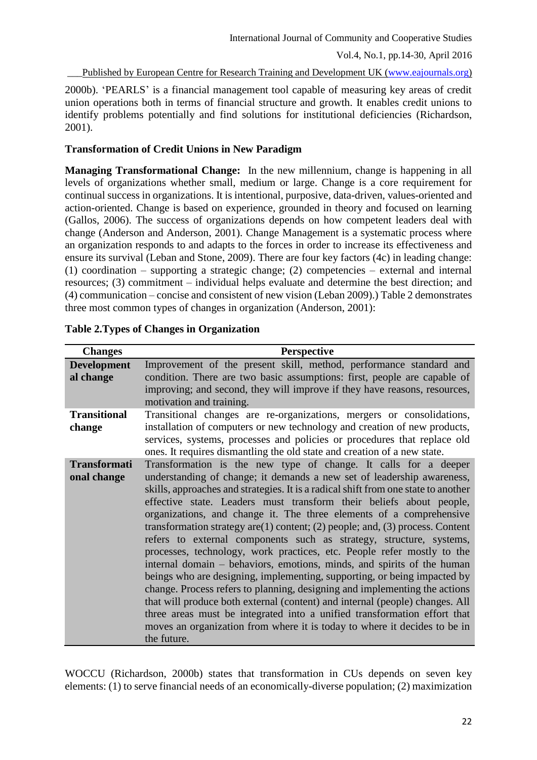Published by European Centre for Research Training and Development UK [\(www.eajournals.org\)](http://www.eajournals.org/)

2000b). 'PEARLS' is a financial management tool capable of measuring key areas of credit union operations both in terms of financial structure and growth. It enables credit unions to identify problems potentially and find solutions for institutional deficiencies (Richardson, 2001).

## **Transformation of Credit Unions in New Paradigm**

**Managing Transformational Change:** In the new millennium, change is happening in all levels of organizations whether small, medium or large. Change is a core requirement for continual success in organizations. It is intentional, purposive, data-driven, values-oriented and action-oriented. Change is based on experience, grounded in theory and focused on learning (Gallos, 2006). The success of organizations depends on how competent leaders deal with change (Anderson and Anderson, 2001). Change Management is a systematic process where an organization responds to and adapts to the forces in order to increase its effectiveness and ensure its survival (Leban and Stone, 2009). There are four key factors (4c) in leading change: (1) coordination – supporting a strategic change; (2) competencies – external and internal resources; (3) commitment – individual helps evaluate and determine the best direction; and (4) communication – concise and consistent of new vision (Leban 2009).) Table 2 demonstrates three most common types of changes in organization (Anderson, 2001):

| <b>Changes</b>                     | <b>Perspective</b>                                                                                                                                                                                                                                                                                                                                                                                                                                                                                                                                                                                                                                                                                                                                                                                                                                                                                                                                                                                                                                                                                                 |
|------------------------------------|--------------------------------------------------------------------------------------------------------------------------------------------------------------------------------------------------------------------------------------------------------------------------------------------------------------------------------------------------------------------------------------------------------------------------------------------------------------------------------------------------------------------------------------------------------------------------------------------------------------------------------------------------------------------------------------------------------------------------------------------------------------------------------------------------------------------------------------------------------------------------------------------------------------------------------------------------------------------------------------------------------------------------------------------------------------------------------------------------------------------|
| <b>Development</b><br>al change    | Improvement of the present skill, method, performance standard and<br>condition. There are two basic assumptions: first, people are capable of<br>improving; and second, they will improve if they have reasons, resources,<br>motivation and training.                                                                                                                                                                                                                                                                                                                                                                                                                                                                                                                                                                                                                                                                                                                                                                                                                                                            |
| <b>Transitional</b><br>change      | Transitional changes are re-organizations, mergers or consolidations,<br>installation of computers or new technology and creation of new products,<br>services, systems, processes and policies or procedures that replace old<br>ones. It requires dismantling the old state and creation of a new state.                                                                                                                                                                                                                                                                                                                                                                                                                                                                                                                                                                                                                                                                                                                                                                                                         |
| <b>Transformati</b><br>onal change | Transformation is the new type of change. It calls for a deeper<br>understanding of change; it demands a new set of leadership awareness,<br>skills, approaches and strategies. It is a radical shift from one state to another<br>effective state. Leaders must transform their beliefs about people,<br>organizations, and change it. The three elements of a comprehensive<br>transformation strategy are $(1)$ content; $(2)$ people; and, $(3)$ process. Content<br>refers to external components such as strategy, structure, systems,<br>processes, technology, work practices, etc. People refer mostly to the<br>internal domain – behaviors, emotions, minds, and spirits of the human<br>beings who are designing, implementing, supporting, or being impacted by<br>change. Process refers to planning, designing and implementing the actions<br>that will produce both external (content) and internal (people) changes. All<br>three areas must be integrated into a unified transformation effort that<br>moves an organization from where it is today to where it decides to be in<br>the future. |

# **Table 2.Types of Changes in Organization**

WOCCU (Richardson, 2000b) states that transformation in CUs depends on seven key elements: (1) to serve financial needs of an economically-diverse population; (2) maximization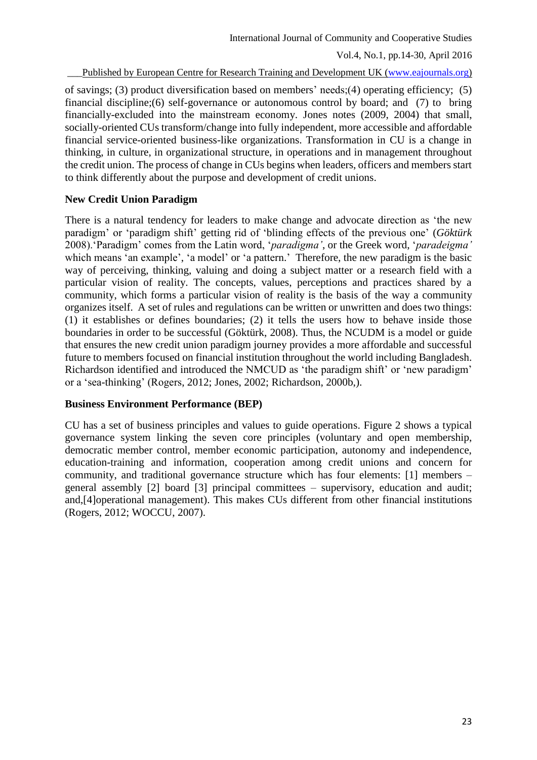Published by European Centre for Research Training and Development UK [\(www.eajournals.org\)](http://www.eajournals.org/)

of savings; (3) product diversification based on members' needs;(4) operating efficiency; (5) financial discipline;(6) self-governance or autonomous control by board; and (7) to bring financially-excluded into the mainstream economy. Jones notes (2009, 2004) that small, socially-oriented CUs transform/change into fully independent, more accessible and affordable financial service-oriented business-like organizations. Transformation in CU is a change in thinking, in culture, in organizational structure, in operations and in management throughout the credit union. The process of change in CUs begins when leaders, officers and members start to think differently about the purpose and development of credit unions.

### **New Credit Union Paradigm**

There is a natural tendency for leaders to make change and advocate direction as 'the new paradigm' or 'paradigm shift' getting rid of 'blinding effects of the previous one' (*Göktürk* 2008).'Paradigm' comes from the Latin word, '*paradigma'*, or the Greek word, '*paradeigma'* which means 'an example', 'a model' or 'a pattern.' Therefore, the new paradigm is the basic way of perceiving, thinking, valuing and doing a subject matter or a research field with a particular vision of reality. The concepts, values, perceptions and practices shared by a community, which forms a particular vision of reality is the basis of the way a community organizes itself. A set of rules and regulations can be written or unwritten and does two things: (1) it establishes or defines boundaries; (2) it tells the users how to behave inside those boundaries in order to be successful (Göktürk, 2008). Thus, the NCUDM is a model or guide that ensures the new credit union paradigm journey provides a more affordable and successful future to members focused on financial institution throughout the world including Bangladesh. Richardson identified and introduced the NMCUD as 'the paradigm shift' or 'new paradigm' or a 'sea-thinking' (Rogers, 2012; Jones, 2002; Richardson, 2000b,).

### **Business Environment Performance (BEP)**

CU has a set of business principles and values to guide operations. Figure 2 shows a typical governance system linking the seven core principles (voluntary and open membership, democratic member control, member economic participation, autonomy and independence, education-training and information, cooperation among credit unions and concern for community, and traditional governance structure which has four elements: [1] members – general assembly [2] board [3] principal committees – supervisory, education and audit; and,[4]operational management). This makes CUs different from other financial institutions (Rogers, 2012; WOCCU, 2007).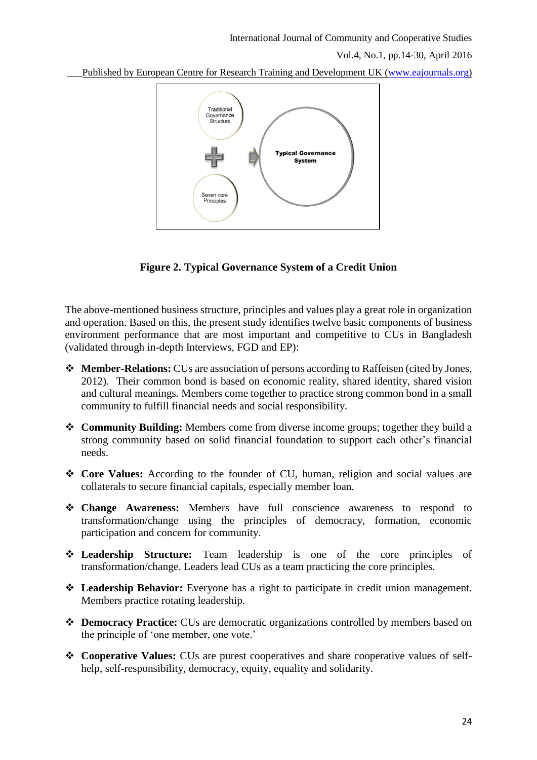Vol.4, No.1, pp.14-30, April 2016

Published by European Centre for Research Training and Development UK [\(www.eajournals.org\)](http://www.eajournals.org/)



**Figure 2. Typical Governance System of a Credit Union**

The above-mentioned business structure, principles and values play a great role in organization and operation. Based on this, the present study identifies twelve basic components of business environment performance that are most important and competitive to CUs in Bangladesh (validated through in-depth Interviews, FGD and EP):

- **Member-Relations:** CUs are association of persons according to Raffeisen (cited by Jones, 2012). Their common bond is based on economic reality, shared identity, shared vision and cultural meanings. Members come together to practice strong common bond in a small community to fulfill financial needs and social responsibility.
- **Community Building:** Members come from diverse income groups; together they build a strong community based on solid financial foundation to support each other's financial needs.
- **Core Values:** According to the founder of CU, human, religion and social values are collaterals to secure financial capitals, especially member loan.
- **Change Awareness:** Members have full conscience awareness to respond to transformation/change using the principles of democracy, formation, economic participation and concern for community.
- **Leadership Structure:** Team leadership is one of the core principles of transformation/change. Leaders lead CUs as a team practicing the core principles.
- **Leadership Behavior:** Everyone has a right to participate in credit union management. Members practice rotating leadership.
- **Democracy Practice:** CUs are democratic organizations controlled by members based on the principle of 'one member, one vote.'
- **Cooperative Values:** CUs are purest cooperatives and share cooperative values of selfhelp, self-responsibility, democracy, equity, equality and solidarity.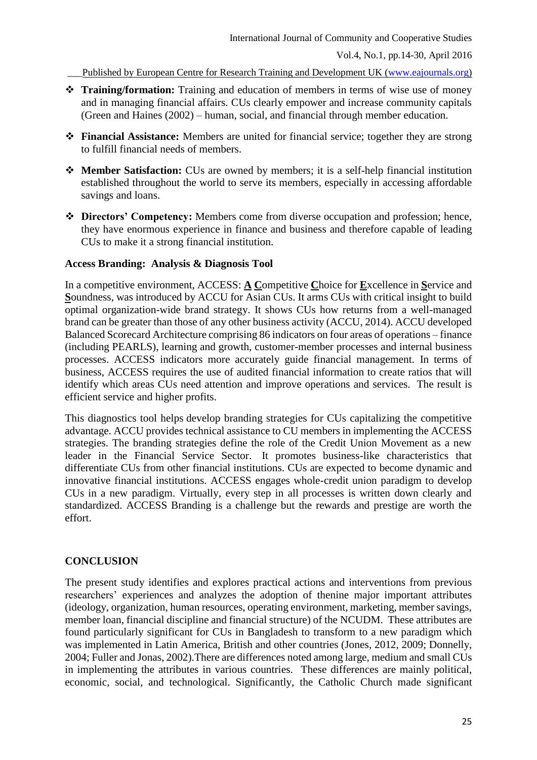\_\_\_Published by European Centre for Research Training and Development UK [\(www.eajournals.org\)](http://www.eajournals.org/)

- **Training/formation:** Training and education of members in terms of wise use of money and in managing financial affairs. CUs clearly empower and increase community capitals (Green and Haines (2002) – human, social, and financial through member education.
- **Financial Assistance:** Members are united for financial service; together they are strong to fulfill financial needs of members.
- **Member Satisfaction:** CUs are owned by members; it is a self-help financial institution established throughout the world to serve its members, especially in accessing affordable savings and loans.
- **Directors' Competency:** Members come from diverse occupation and profession; hence, they have enormous experience in finance and business and therefore capable of leading CUs to make it a strong financial institution.

### **Access Branding: Analysis & Diagnosis Tool**

In a competitive environment, ACCESS: **A C**ompetitive **C**hoice for **E**xcellence in **S**ervice and **S**oundness, was introduced by ACCU for Asian CUs. It arms CUs with critical insight to build optimal organization-wide brand strategy. It shows CUs how returns from a well-managed brand can be greater than those of any other business activity (ACCU, 2014). ACCU developed Balanced Scorecard Architecture comprising 86 indicators on four areas of operations – finance (including PEARLS), learning and growth, customer-member processes and internal business processes. ACCESS indicators more accurately guide financial management. In terms of business, ACCESS requires the use of audited financial information to create ratios that will identify which areas CUs need attention and improve operations and services. The result is efficient service and higher profits.

This diagnostics tool helps develop branding strategies for CUs capitalizing the competitive advantage. ACCU provides technical assistance to CU members in implementing the ACCESS strategies. The branding strategies define the role of the Credit Union Movement as a new leader in the Financial Service Sector. It promotes business-like characteristics that differentiate CUs from other financial institutions. CUs are expected to become dynamic and innovative financial institutions. ACCESS engages whole-credit union paradigm to develop CUs in a new paradigm. Virtually, every step in all processes is written down clearly and standardized. ACCESS Branding is a challenge but the rewards and prestige are worth the effort.

# **CONCLUSION**

The present study identifies and explores practical actions and interventions from previous researchers' experiences and analyzes the adoption of thenine major important attributes (ideology, organization, human resources, operating environment, marketing, member savings, member loan, financial discipline and financial structure) of the NCUDM. These attributes are found particularly significant for CUs in Bangladesh to transform to a new paradigm which was implemented in Latin America, British and other countries (Jones, 2012, 2009; Donnelly, 2004; Fuller and Jonas, 2002).There are differences noted among large, medium and small CUs in implementing the attributes in various countries. These differences are mainly political, economic, social, and technological. Significantly, the Catholic Church made significant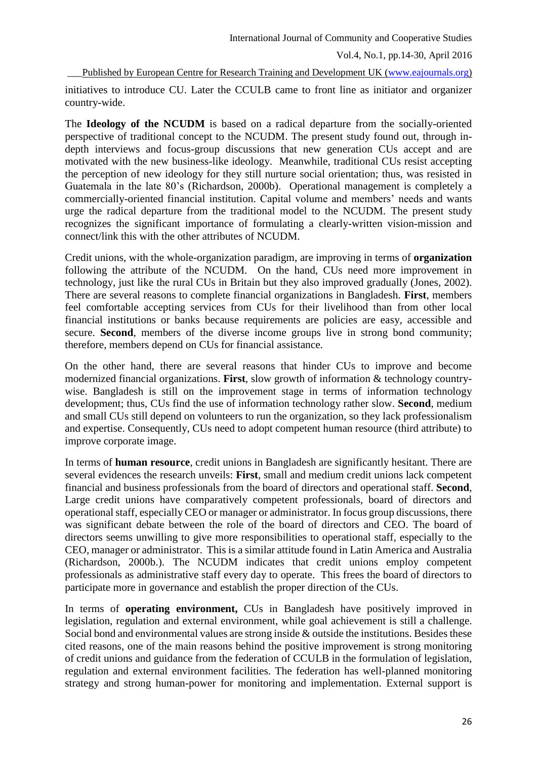Published by European Centre for Research Training and Development UK [\(www.eajournals.org\)](http://www.eajournals.org/)

initiatives to introduce CU. Later the CCULB came to front line as initiator and organizer country-wide.

The **Ideology of the NCUDM** is based on a radical departure from the socially-oriented perspective of traditional concept to the NCUDM. The present study found out, through indepth interviews and focus-group discussions that new generation CUs accept and are motivated with the new business-like ideology. Meanwhile, traditional CUs resist accepting the perception of new ideology for they still nurture social orientation; thus, was resisted in Guatemala in the late 80's (Richardson, 2000b). Operational management is completely a commercially-oriented financial institution. Capital volume and members' needs and wants urge the radical departure from the traditional model to the NCUDM. The present study recognizes the significant importance of formulating a clearly-written vision-mission and connect/link this with the other attributes of NCUDM.

Credit unions, with the whole-organization paradigm, are improving in terms of **organization** following the attribute of the NCUDM. On the hand, CUs need more improvement in technology, just like the rural CUs in Britain but they also improved gradually (Jones, 2002). There are several reasons to complete financial organizations in Bangladesh. **First**, members feel comfortable accepting services from CUs for their livelihood than from other local financial institutions or banks because requirements are policies are easy, accessible and secure. **Second**, members of the diverse income groups live in strong bond community; therefore, members depend on CUs for financial assistance.

On the other hand, there are several reasons that hinder CUs to improve and become modernized financial organizations. **First**, slow growth of information & technology countrywise. Bangladesh is still on the improvement stage in terms of information technology development; thus, CUs find the use of information technology rather slow. **Second**, medium and small CUs still depend on volunteers to run the organization, so they lack professionalism and expertise. Consequently, CUs need to adopt competent human resource (third attribute) to improve corporate image.

In terms of **human resource**, credit unions in Bangladesh are significantly hesitant. There are several evidences the research unveils: **First**, small and medium credit unions lack competent financial and business professionals from the board of directors and operational staff. **Second**, Large credit unions have comparatively competent professionals, board of directors and operational staff, especially CEO or manager or administrator. In focus group discussions, there was significant debate between the role of the board of directors and CEO. The board of directors seems unwilling to give more responsibilities to operational staff, especially to the CEO, manager or administrator. This is a similar attitude found in Latin America and Australia (Richardson, 2000b.). The NCUDM indicates that credit unions employ competent professionals as administrative staff every day to operate. This frees the board of directors to participate more in governance and establish the proper direction of the CUs.

In terms of **operating environment,** CUs in Bangladesh have positively improved in legislation, regulation and external environment, while goal achievement is still a challenge. Social bond and environmental values are strong inside & outside the institutions. Besides these cited reasons, one of the main reasons behind the positive improvement is strong monitoring of credit unions and guidance from the federation of CCULB in the formulation of legislation, regulation and external environment facilities. The federation has well-planned monitoring strategy and strong human-power for monitoring and implementation. External support is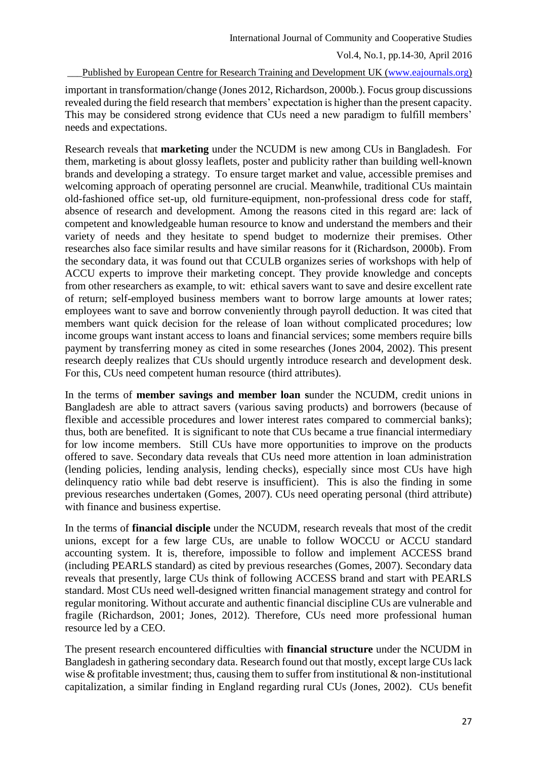Published by European Centre for Research Training and Development UK [\(www.eajournals.org\)](http://www.eajournals.org/)

important in transformation/change (Jones 2012, Richardson, 2000b.). Focus group discussions revealed during the field research that members' expectation is higher than the present capacity. This may be considered strong evidence that CUs need a new paradigm to fulfill members' needs and expectations.

Research reveals that **marketing** under the NCUDM is new among CUs in Bangladesh. For them, marketing is about glossy leaflets, poster and publicity rather than building well-known brands and developing a strategy. To ensure target market and value, accessible premises and welcoming approach of operating personnel are crucial. Meanwhile, traditional CUs maintain old-fashioned office set-up, old furniture-equipment, non-professional dress code for staff, absence of research and development. Among the reasons cited in this regard are: lack of competent and knowledgeable human resource to know and understand the members and their variety of needs and they hesitate to spend budget to modernize their premises. Other researches also face similar results and have similar reasons for it (Richardson, 2000b). From the secondary data, it was found out that CCULB organizes series of workshops with help of ACCU experts to improve their marketing concept. They provide knowledge and concepts from other researchers as example, to wit: ethical savers want to save and desire excellent rate of return; self-employed business members want to borrow large amounts at lower rates; employees want to save and borrow conveniently through payroll deduction. It was cited that members want quick decision for the release of loan without complicated procedures; low income groups want instant access to loans and financial services; some members require bills payment by transferring money as cited in some researches (Jones 2004, 2002). This present research deeply realizes that CUs should urgently introduce research and development desk. For this, CUs need competent human resource (third attributes).

In the terms of **member savings and member loan s**under the NCUDM, credit unions in Bangladesh are able to attract savers (various saving products) and borrowers (because of flexible and accessible procedures and lower interest rates compared to commercial banks); thus, both are benefited. It is significant to note that CUs became a true financial intermediary for low income members. Still CUs have more opportunities to improve on the products offered to save. Secondary data reveals that CUs need more attention in loan administration (lending policies, lending analysis, lending checks), especially since most CUs have high delinquency ratio while bad debt reserve is insufficient). This is also the finding in some previous researches undertaken (Gomes, 2007). CUs need operating personal (third attribute) with finance and business expertise.

In the terms of **financial disciple** under the NCUDM, research reveals that most of the credit unions, except for a few large CUs, are unable to follow WOCCU or ACCU standard accounting system. It is, therefore, impossible to follow and implement ACCESS brand (including PEARLS standard) as cited by previous researches (Gomes, 2007). Secondary data reveals that presently, large CUs think of following ACCESS brand and start with PEARLS standard. Most CUs need well-designed written financial management strategy and control for regular monitoring. Without accurate and authentic financial discipline CUs are vulnerable and fragile (Richardson, 2001; Jones, 2012). Therefore, CUs need more professional human resource led by a CEO.

The present research encountered difficulties with **financial structure** under the NCUDM in Bangladesh in gathering secondary data. Research found out that mostly, except large CUs lack wise  $\&$  profitable investment; thus, causing them to suffer from institutional  $\&$  non-institutional capitalization, a similar finding in England regarding rural CUs (Jones, 2002). CUs benefit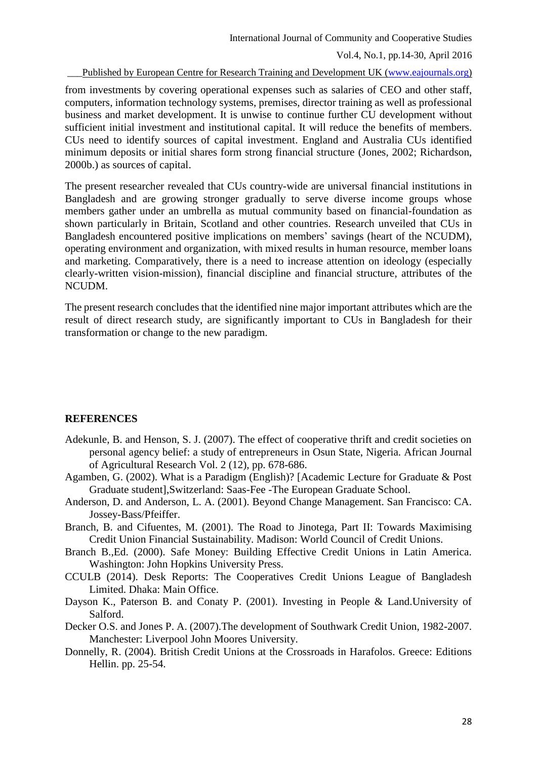Vol.4, No.1, pp.14-30, April 2016

Published by European Centre for Research Training and Development UK [\(www.eajournals.org\)](http://www.eajournals.org/)

from investments by covering operational expenses such as salaries of CEO and other staff, computers, information technology systems, premises, director training as well as professional business and market development. It is unwise to continue further CU development without sufficient initial investment and institutional capital. It will reduce the benefits of members. CUs need to identify sources of capital investment. England and Australia CUs identified minimum deposits or initial shares form strong financial structure (Jones, 2002; Richardson, 2000b.) as sources of capital.

The present researcher revealed that CUs country-wide are universal financial institutions in Bangladesh and are growing stronger gradually to serve diverse income groups whose members gather under an umbrella as mutual community based on financial-foundation as shown particularly in Britain, Scotland and other countries. Research unveiled that CUs in Bangladesh encountered positive implications on members' savings (heart of the NCUDM), operating environment and organization, with mixed results in human resource, member loans and marketing. Comparatively, there is a need to increase attention on ideology (especially clearly-written vision-mission), financial discipline and financial structure, attributes of the NCUDM.

The present research concludes that the identified nine major important attributes which are the result of direct research study, are significantly important to CUs in Bangladesh for their transformation or change to the new paradigm.

### **REFERENCES**

- Adekunle, B. and Henson, S. J. (2007). The effect of cooperative thrift and credit societies on personal agency belief: a study of entrepreneurs in Osun State, Nigeria. African Journal of Agricultural Research Vol. 2 (12), pp. 678-686.
- Agamben, G. (2002). What is a Paradigm (English)? [Academic Lecture for Graduate & Post Graduate student],Switzerland: Saas-Fee -The European Graduate School.
- Anderson, D. and Anderson, L. A. (2001). Beyond Change Management. San Francisco: CA. Jossey-Bass/Pfeiffer.
- Branch, B. and Cifuentes, M. (2001). The Road to Jinotega, Part II: Towards Maximising Credit Union Financial Sustainability. Madison: World Council of Credit Unions.
- Branch B.,Ed. (2000). Safe Money: Building Effective Credit Unions in Latin America. Washington: John Hopkins University Press.
- CCULB (2014). Desk Reports: The Cooperatives Credit Unions League of Bangladesh Limited. Dhaka: Main Office.
- Dayson K., Paterson B. and Conaty P. (2001). Investing in People & Land.University of Salford.
- Decker O.S. and Jones P. A. (2007).The development of Southwark Credit Union, 1982-2007. Manchester: Liverpool John Moores University.
- Donnelly, R. (2004). British Credit Unions at the Crossroads in Harafolos. Greece: Editions Hellin. pp. 25-54.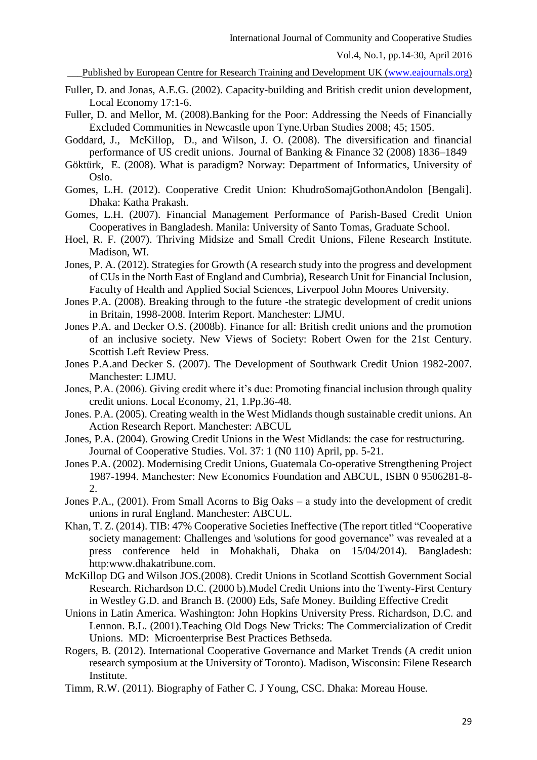Published by European Centre for Research Training and Development UK [\(www.eajournals.org\)](http://www.eajournals.org/)

- Fuller, D. and Jonas, A.E.G. (2002). Capacity-building and British credit union development, Local Economy 17:1-6.
- Fuller, D. and Mellor, M. (2008).Banking for the Poor: Addressing the Needs of Financially Excluded Communities in Newcastle upon Tyne.Urban Studies 2008; 45; 1505.
- Goddard, J., McKillop, D., and Wilson, J. O. (2008). The diversification and financial performance of US credit unions. Journal of Banking & Finance 32 (2008) 1836–1849
- Göktürk, E. (2008). What is paradigm? Norway: Department of Informatics, University of Oslo.
- Gomes, L.H. (2012). Cooperative Credit Union: KhudroSomajGothonAndolon [Bengali]. Dhaka: Katha Prakash.
- Gomes, L.H. (2007). Financial Management Performance of Parish-Based Credit Union Cooperatives in Bangladesh. Manila: University of Santo Tomas, Graduate School.
- Hoel, R. F. (2007). Thriving Midsize and Small Credit Unions, Filene Research Institute. Madison, WI.
- Jones, P. A. (2012). Strategies for Growth (A research study into the progress and development of CUs in the North East of England and Cumbria), Research Unit for Financial Inclusion, Faculty of Health and Applied Social Sciences, Liverpool John Moores University.
- Jones P.A. (2008). Breaking through to the future -the strategic development of credit unions in Britain, 1998-2008. Interim Report. Manchester: LJMU.
- Jones P.A. and Decker O.S. (2008b). Finance for all: British credit unions and the promotion of an inclusive society. New Views of Society: Robert Owen for the 21st Century. Scottish Left Review Press.
- Jones P.A.and Decker S. (2007). The Development of Southwark Credit Union 1982-2007. Manchester: LJMU.
- Jones, P.A. (2006). Giving credit where it's due: Promoting financial inclusion through quality credit unions. Local Economy, 21, 1.Pp.36-48.
- Jones. P.A. (2005). Creating wealth in the West Midlands though sustainable credit unions. An Action Research Report. Manchester: ABCUL
- Jones, P.A. (2004). Growing Credit Unions in the West Midlands: the case for restructuring. Journal of Cooperative Studies. Vol. 37: 1 (N0 110) April, pp. 5-21.
- Jones P.A. (2002). Modernising Credit Unions, Guatemala Co-operative Strengthening Project 1987-1994. Manchester: New Economics Foundation and ABCUL, ISBN 0 9506281-8- 2.
- Jones P.A., (2001). From Small Acorns to Big Oaks a study into the development of credit unions in rural England. Manchester: ABCUL.
- Khan, T. Z. (2014). TIB: 47% Cooperative Societies Ineffective (The report titled "Cooperative society management: Challenges and \solutions for good governance" was revealed at a press conference held in Mohakhali, Dhaka on 15/04/2014). Bangladesh: [http:www.dhakatribune.com.](http://www.dhakatribune.com/)
- McKillop DG and Wilson JOS.(2008). Credit Unions in Scotland Scottish Government Social Research. Richardson D.C. (2000 b).Model Credit Unions into the Twenty-First Century in Westley G.D. and Branch B. (2000) Eds, Safe Money. Building Effective Credit
- Unions in Latin America. Washington: John Hopkins University Press. Richardson, D.C. and Lennon. B.L. (2001).Teaching Old Dogs New Tricks: The Commercialization of Credit Unions. MD: Microenterprise Best Practices Bethseda.
- Rogers, B. (2012). International Cooperative Governance and Market Trends (A credit union research symposium at the University of Toronto). Madison, Wisconsin: Filene Research Institute.
- Timm, R.W. (2011). Biography of Father C. J Young, CSC. Dhaka: Moreau House.